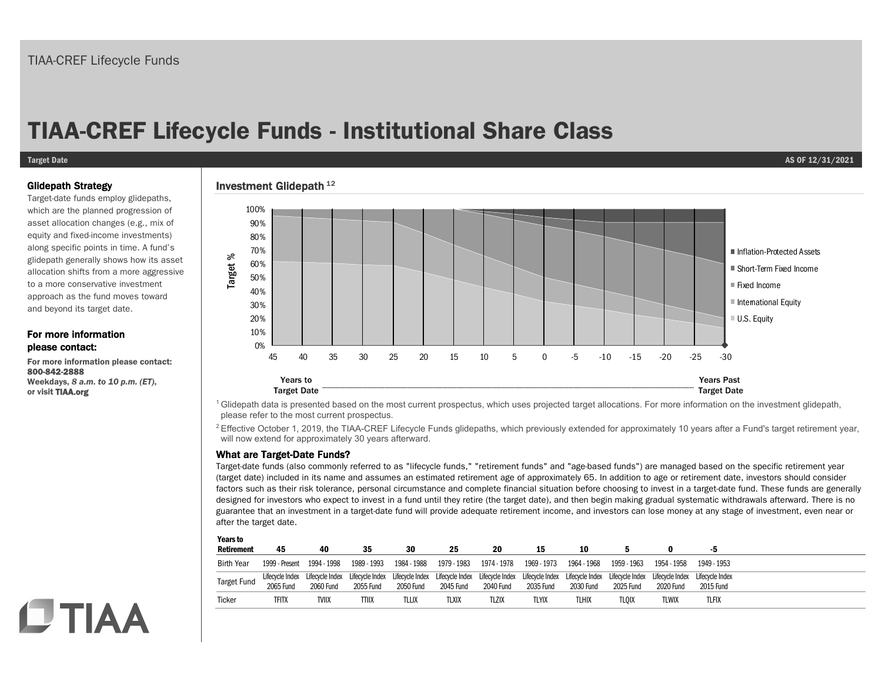# **TIAA-CREF Lifecycle Funds - Institutional Share Class**

#### **Target Date AS OF 12/31/2021**

#### Glidepath Strategy

Target-date funds employ glidepaths, which are the planned progression of asset allocation changes (e.g., mix of equity and fixed-income investments) along specific points in time. A fund's glidepath generally shows how its asset allocation shifts from a more aggressive to a more conservative investment approach as the fund moves toward and beyond its target date.

### For more information please contact:

**CTIAA** 

For more information please contact: 800-842-2888 Weekdays, *8 a.m. to 10 p.m. (ET)*, or visit TIAA.org

### Investment Glidepath  $^{12}$



<sup>1</sup> Glidepath data is presented based on the most current prospectus, which uses projected target allocations. For more information on the investment glidepath, please refer to the most current prospectus.

<sup>2</sup> Effective October 1, 2019, the TIAA-CREF Lifecycle Funds glidepaths, which previously extended for approximately 10 years after a Fund's target retirement year, will now extend for approximately 30 years afterward.

### What are Target-Date Funds?

Target-date funds (also commonly referred to as "lifecycle funds," "retirement funds" and "age-based funds") are managed based on the specific retirement year (target date) included in its name and assumes an estimated retirement age of approximately 65. In addition to age or retirement date, investors should consider factors such as their risk tolerance, personal circumstance and complete financial situation before choosing to invest in a target-date fund. These funds are generally designed for investors who expect to invest in a fund until they retire (the target date), and then begin making gradual systematic withdrawals afterward. There is no guarantee that an investment in a target-date fund will provide adequate retirement income, and investors can lose money at any stage of investment, even near or after the target date.

| <b>Years to</b><br><b>Retirement</b> | 45             | 40               | 35                                                                                                                                                                                                                                          | 30          | 25          | 20                        | 15        | 10           |             |             |              |
|--------------------------------------|----------------|------------------|---------------------------------------------------------------------------------------------------------------------------------------------------------------------------------------------------------------------------------------------|-------------|-------------|---------------------------|-----------|--------------|-------------|-------------|--------------|
| <b>Birth Year</b>                    | 1999 - Present | 1994 - 1998      | 1989 - 1993                                                                                                                                                                                                                                 | 1984 - 1988 | 1979 - 1983 | 1974 - 1978   1969 - 1973 |           | 1964 - 1968  | 1959 - 1963 | 1954 - 1958 | 1949 - 1953  |
| <b>Target Fund</b>                   | 2065 Fund      | <b>2060 Fund</b> | Lifecycle Index Lifecycle Index Lifecycle Index Lifecycle Index Lifecycle Index Lifecycle Index Lifecycle Index Lifecycle Index Lifecycle Index Lifecycle Index Lifecycle Index Lifecycle Index Lifecycle Index Lifecycle Inde<br>2055 Fund | 2050 Fund   | 2045 Fund   | 2040 Fund                 | 2035 Fund | 2030 Fund    | 2025 Fund   | 2020 Fund   | 2015 Fund    |
| Ticker                               | <b>TFITX</b>   | TVIIX            | TTIIX                                                                                                                                                                                                                                       | TLLIX       | TLXIX       | TLZIX                     | TLYIX     | <b>TLHIX</b> | TLOIX       | TLWIX       | <b>TLFIX</b> |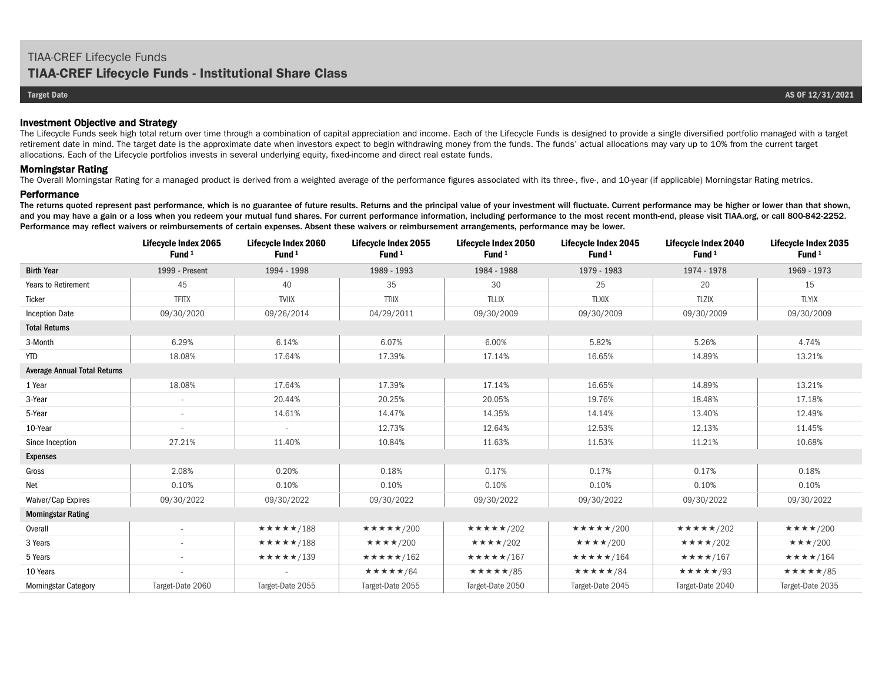#### Investment Objective and Strategy

The Lifecycle Funds seek high total return over time through a combination of capital appreciation and income. Each of the Lifecycle Funds is designed to provide a single diversified portfolio managed with a target retirement date in mind. The target date is the approximate date when investors expect to begin withdrawing money from the funds. The funds' actual allocations may vary up to 10% from the current target allocations. Each of the Lifecycle portfolios invests in several underlying equity, fixed-income and direct real estate funds.

#### Morningstar Rating

The Overall Morningstar Rating for a managed product is derived from a weighted average of the performance figures associated with its three-, five-, and 10-year (if applicable) Morningstar Rating metrics.

#### **Performance**

The returns quoted represent past performance, which is no guarantee of future results. Returns and the principal value of your investment will fluctuate. Current performance may be higher or lower than that shown, and you may have a gain or a loss when you redeem your mutual fund shares. For current performance information, including performance to the most recent month-end, please visit TIAA.org, or call 800-842-2252. Performance may reflect waivers or reimbursements of certain expenses. Absent these waivers or reimbursement arrangements, performance may be lower.

|                                     | Lifecycle Index 2065<br>Fund <sup>1</sup> | Lifecycle Index 2060<br>Fund <sup>1</sup> | Lifecycle Index 2055<br>Fund <sup>1</sup> | Lifecycle Index 2050<br>Fund <sup>1</sup> | Lifecycle Index 2045<br>Fund <sup>1</sup> | Lifecycle Index 2040<br>Fund <sup>1</sup> | <b>Lifecycle Index 2035</b><br>Fund <sup>1</sup> |
|-------------------------------------|-------------------------------------------|-------------------------------------------|-------------------------------------------|-------------------------------------------|-------------------------------------------|-------------------------------------------|--------------------------------------------------|
| <b>Birth Year</b>                   | 1999 - Present                            | 1994 - 1998                               | 1989 - 1993                               | 1984 - 1988                               | 1979 - 1983                               | 1974 - 1978                               | 1969 - 1973                                      |
| <b>Years to Retirement</b>          | 45                                        | 40                                        | 35                                        | 30                                        | 25                                        | 20                                        | 15                                               |
| Ticker                              | <b>TFITX</b>                              | <b>TVIIX</b>                              | <b>TTIIX</b>                              | <b>TLLIX</b>                              | <b>TLXIX</b>                              | <b>TLZIX</b>                              | <b>TLYIX</b>                                     |
| <b>Inception Date</b>               | 09/30/2020                                | 09/26/2014                                | 04/29/2011                                | 09/30/2009                                | 09/30/2009                                | 09/30/2009                                | 09/30/2009                                       |
| <b>Total Returns</b>                |                                           |                                           |                                           |                                           |                                           |                                           |                                                  |
| 3-Month                             | 6.29%                                     | 6.14%                                     | 6.07%                                     | 6.00%                                     | 5.82%                                     | 5.26%                                     | 4.74%                                            |
| <b>YTD</b>                          | 18.08%                                    | 17.64%                                    | 17.39%                                    | 17.14%                                    | 16.65%                                    | 14.89%                                    | 13.21%                                           |
| <b>Average Annual Total Returns</b> |                                           |                                           |                                           |                                           |                                           |                                           |                                                  |
| 1 Year                              | 18.08%                                    | 17.64%                                    | 17.39%                                    | 17.14%                                    | 16.65%                                    | 14.89%                                    | 13.21%                                           |
| 3-Year                              | $\sim$                                    | 20.44%                                    | 20.25%                                    | 20.05%                                    | 19.76%                                    | 18.48%                                    | 17.18%                                           |
| 5-Year                              | $\sim$                                    | 14.61%                                    | 14.47%                                    | 14.35%                                    | 14.14%                                    | 13.40%                                    | 12.49%                                           |
| 10-Year                             |                                           | $\sim$                                    | 12.73%                                    | 12.64%                                    | 12.53%                                    | 12.13%                                    | 11.45%                                           |
| Since Inception                     | 27.21%                                    | 11.40%                                    | 10.84%                                    | 11.63%                                    | 11.53%                                    | 11.21%                                    | 10.68%                                           |
| <b>Expenses</b>                     |                                           |                                           |                                           |                                           |                                           |                                           |                                                  |
| Gross                               | 2.08%                                     | 0.20%                                     | 0.18%                                     | 0.17%                                     | 0.17%                                     | 0.17%                                     | 0.18%                                            |
| Net                                 | 0.10%                                     | 0.10%                                     | 0.10%                                     | 0.10%                                     | 0.10%                                     | 0.10%                                     | 0.10%                                            |
| Waiver/Cap Expires                  | 09/30/2022                                | 09/30/2022                                | 09/30/2022                                | 09/30/2022                                | 09/30/2022                                | 09/30/2022                                | 09/30/2022                                       |
| <b>Morningstar Rating</b>           |                                           |                                           |                                           |                                           |                                           |                                           |                                                  |
| Overall                             | $\sim$                                    | ★★★★★/188                                 | ★★★★★/200                                 | ★★★★★/202                                 | $\star\star\star\star\star$ /200          | $\star\star\star\star\star$ /202          | $\star\star\star\star$ /200                      |
| 3 Years                             |                                           | ★★★★★/188                                 | $\star \star \star \star 1200$            | $\star\star\star\star$ /202               | $\star\star\star\star$ /200               | $\star\star\star\star$ /202               | $\star \star \star /200$                         |
| 5 Years                             | $\sim$                                    | $\star\star\star\star\star$ /139          | ★★★★★/162                                 | ★★★★★/167                                 | $\star\star\star\star\star$ /164          | $\star\star\star\star$ /167               | $\star\star\star\star$ /164                      |
| 10 Years                            |                                           |                                           | ★★★★★/64                                  | ★★★★★/85                                  | ★★★★★/84                                  | ★★★★★/93                                  | ★★★★★/85                                         |
| <b>Morningstar Category</b>         | Target-Date 2060                          | Target-Date 2055                          | Target-Date 2055                          | Target-Date 2050                          | Target-Date 2045                          | Target-Date 2040                          | Target-Date 2035                                 |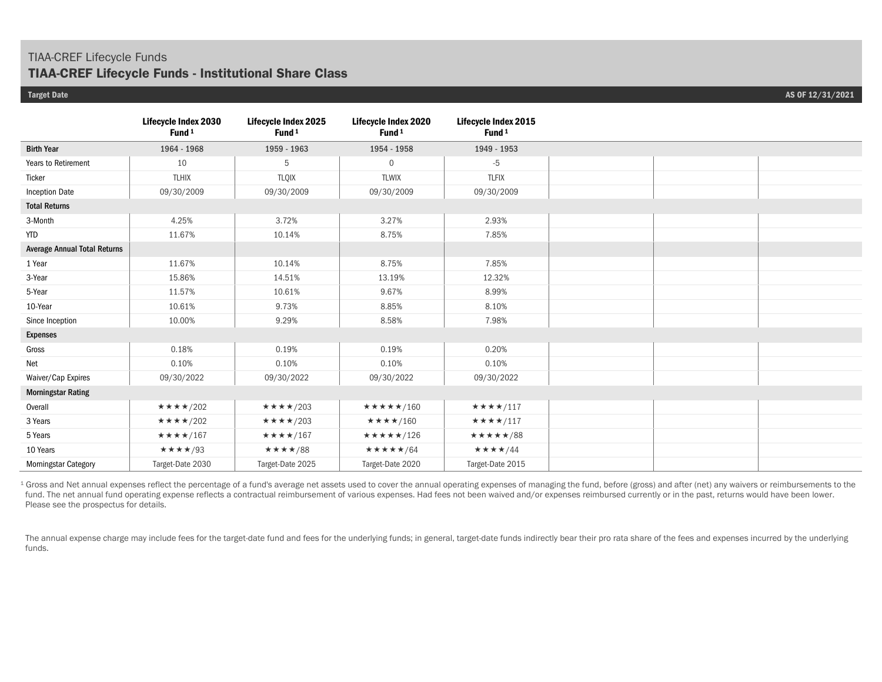# TIAA-CREF Lifecycle Funds

## **TIAA-CREF Lifecycle Funds - Institutional Share Class**

|                                     | Lifecycle Index 2030<br>Fund <sup>1</sup> | Lifecycle Index 2025<br>Fund <sup>1</sup> | Lifecycle Index 2020<br>Fund <sup>1</sup> | <b>Lifecycle Index 2015</b><br>Fund <sup>1</sup> |
|-------------------------------------|-------------------------------------------|-------------------------------------------|-------------------------------------------|--------------------------------------------------|
| <b>Birth Year</b>                   | 1964 - 1968                               | 1959 - 1963                               | 1954 - 1958                               | 1949 - 1953                                      |
| Years to Retirement                 | 10                                        | 5                                         | $\mathbf{0}$                              | $-5$                                             |
| Ticker                              | <b>TLHIX</b>                              | <b>TLQIX</b>                              | <b>TLWIX</b>                              | <b>TLFIX</b>                                     |
| <b>Inception Date</b>               | 09/30/2009                                | 09/30/2009                                | 09/30/2009                                | 09/30/2009                                       |
| <b>Total Returns</b>                |                                           |                                           |                                           |                                                  |
| 3-Month                             | 4.25%                                     | 3.72%                                     | 3.27%                                     | 2.93%                                            |
| <b>YTD</b>                          | 11.67%                                    | 10.14%                                    | 8.75%                                     | 7.85%                                            |
| <b>Average Annual Total Returns</b> |                                           |                                           |                                           |                                                  |
| 1 Year                              | 11.67%                                    | 10.14%                                    | 8.75%                                     | 7.85%                                            |
| 3-Year                              | 15.86%                                    | 14.51%                                    | 13.19%                                    | 12.32%                                           |
| 5-Year                              | 11.57%                                    | 10.61%                                    | 9.67%                                     | 8.99%                                            |
| 10-Year                             | 10.61%                                    | 9.73%                                     | 8.85%                                     | 8.10%                                            |
| Since Inception                     | 10.00%                                    | 9.29%                                     | 8.58%                                     | 7.98%                                            |
| <b>Expenses</b>                     |                                           |                                           |                                           |                                                  |
| Gross                               | 0.18%                                     | 0.19%                                     | 0.19%                                     | 0.20%                                            |
| Net                                 | 0.10%                                     | 0.10%                                     | 0.10%                                     | 0.10%                                            |
| Waiver/Cap Expires                  | 09/30/2022                                | 09/30/2022                                | 09/30/2022                                | 09/30/2022                                       |
| <b>Morningstar Rating</b>           |                                           |                                           |                                           |                                                  |
| Overall                             | ★★★★/202                                  | $\star\star\star\star$ /203               | ★★★★★/160                                 | ★★★★/117                                         |
| 3 Years                             | $\star\star\star\star$ /202               | $\star\star\star\star$ /203               | $\star\star\star\star$ /160               | $\star\star\star\star$ /117                      |
| 5 Years                             | ★★★★/167                                  | ★★★★/167                                  | $\star\star\star\star\star$ /126          | ★★★★★/88                                         |
| 10 Years                            | ★★★★/93                                   | ★★★★/88                                   | ★★★★★/64                                  | $\star\star\star\star/44$                        |
| <b>Morningstar Category</b>         | Target-Date 2030                          | Target-Date 2025                          | Target-Date 2020                          | Target-Date 2015                                 |

<sup>1</sup> Gross and Net annual expenses reflect the percentage of a fund's average net assets used to cover the annual operating expenses of managing the fund, before (gross) and after (net) any waivers or reimbursements to the fund. The net annual fund operating expense reflects a contractual reimbursement of various expenses. Had fees not been waived and/or expenses reimbursed currently or in the past, returns would have been lower. Please see the prospectus for details.

The annual expense charge may include fees for the target-date fund and fees for the underlying funds; in general, target-date funds indirectly bear their pro rata share of the fees and expenses incurred by the underlying funds.

**Target Date AS OF 12/31/2021**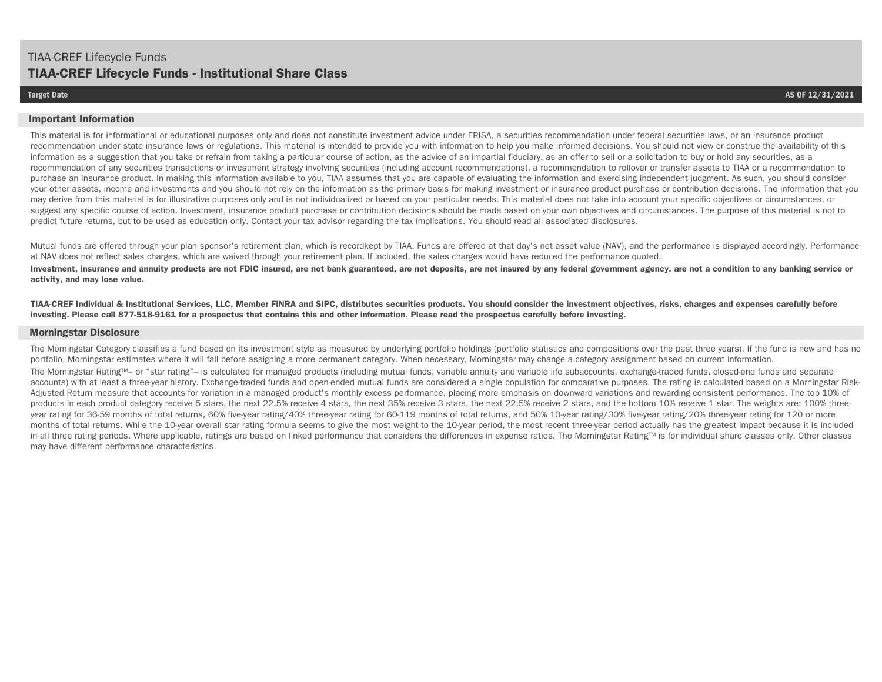#### **Important Information**

This material is for informational or educational purposes only and does not constitute investment advice under ERISA, a securities recommendation under federal securities laws, or an insurance product recommendation under state insurance laws or regulations. This material is intended to provide you with information to help you make informed decisions. You should not view or construe the availability of this information as a suggestion that you take or refrain from taking a particular course of action, as the advice of an impartial fiduciary, as an offer to sell or a solicitation to buy or hold any securities, as a recommendation of any securities transactions or investment strategy involving securities (including account recommendations), a recommendation to rollover or transfer assets to TIAA or a recommendation to purchase an insurance product. In making this information available to you, TIAA assumes that you are capable of evaluating the information and exercising independent judgment. As such, you should consider your other assets, income and investments and you should not rely on the information as the primary basis for making investment or insurance product purchase or contribution decisions. The information that you may derive from this material is for illustrative purposes only and is not individualized or based on your particular needs. This material does not take into account your specific objectives or circumstances, or suggest any specific course of action. Investment, insurance product purchase or contribution decisions should be made based on your own objectives and circumstances. The purpose of this material is not to predict future returns, but to be used as education only. Contact your tax advisor regarding the tax implications. You should read all associated disclosures.

Mutual funds are offered through your plan sponsor's retirement plan, which is recordkept by TIAA. Funds are offered at that day's net asset value (NAV), and the performance is displayed accordingly. Performance at NAV does not reflect sales charges, which are waived through your retirement plan. If included, the sales charges would have reduced the performance quoted.

Investment, insurance and annuity products are not FDIC insured, are not bank guaranteed, are not deposits, are not insured by any federal government agency, are not a condition to any banking service or **activity, and may lose value.**

**TIAA-CREF Individual & Institutional Services, LLC, Member FINRA and SIPC, distributes securities products. You should consider the investment objectives, risks, charges and expenses carefully before investing. Please call 877-518-9161 for a prospectus that contains this and other information. Please read the prospectus carefully before investing.** 

#### **Morningstar Disclosure**

The Morningstar Category classifies a fund based on its investment style as measured by underlying portfolio holdings (portfolio statistics and compositions over the past three years). If the fund is new and has no portfolio, Morningstar estimates where it will fall before assigning a more permanent category. When necessary, Morningstar may change a category assignment based on current information.

The Morningstar Rating™– or "star rating"– is calculated for managed products (including mutual funds, variable annuity and variable life subaccounts, exchange-traded funds, closed-end funds and separate accounts) with at least a three-year history. Exchange-traded funds and open-ended mutual funds are considered a single population for comparative purposes. The rating is calculated based on a Morningstar Risk-Adjusted Return measure that accounts for variation in a managed product's monthly excess performance, placing more emphasis on downward variations and rewarding consistent performance. The top 10% of products in each product category receive 5 stars, the next 22.5% receive 4 stars, the next 35% receive 3 stars, the next 22.5% receive 2 stars, and the bottom 10% receive 1 star. The weights are: 100% threeyear rating for 36-59 months of total returns, 60% five-year rating/40% three-year rating for 60-119 months of total returns, and 50% 10-year rating/30% five-year rating/20% three-year rating for 120 or more months of total returns. While the 10-year overall star rating formula seems to give the most weight to the 10-year period, the most recent three-year period actually has the greatest impact because it is included in all three rating periods. Where applicable, ratings are based on linked performance that considers the differences in expense ratios. The Morningstar Rating™ is for individual share classes only. Other classes may have different performance characteristics.